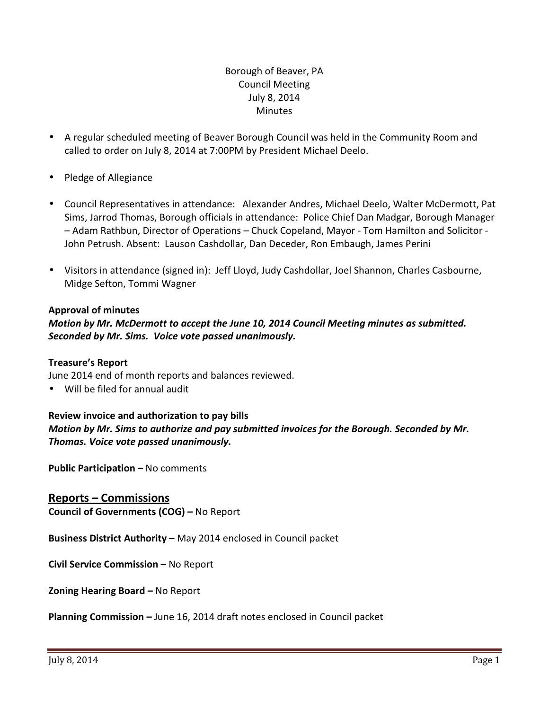# Borough of Beaver, PA Council Meeting July 8, 2014 **Minutes**

- A regular scheduled meeting of Beaver Borough Council was held in the Community Room and called to order on July 8, 2014 at 7:00PM by President Michael Deelo.
- Pledge of Allegiance
- Council Representatives in attendance: Alexander Andres, Michael Deelo, Walter McDermott, Pat Sims, Jarrod Thomas, Borough officials in attendance: Police Chief Dan Madgar, Borough Manager – Adam Rathbun, Director of Operations – Chuck Copeland, Mayor - Tom Hamilton and Solicitor - John Petrush. Absent: Lauson Cashdollar, Dan Deceder, Ron Embaugh, James Perini
- Visitors in attendance (signed in): Jeff Lloyd, Judy Cashdollar, Joel Shannon, Charles Casbourne, Midge Sefton, Tommi Wagner

### Approval of minutes

# Motion by Mr. McDermott to accept the June 10, 2014 Council Meeting minutes as submitted. Seconded by Mr. Sims. Voice vote passed unanimously.

#### Treasure's Report

June 2014 end of month reports and balances reviewed.

• Will be filed for annual audit

#### Review invoice and authorization to pay bills

Motion by Mr. Sims to authorize and pay submitted invoices for the Borough. Seconded by Mr. Thomas. Voice vote passed unanimously.

Public Participation – No comments

Reports – Commissions Council of Governments (COG) – No Report

Business District Authority – May 2014 enclosed in Council packet

Civil Service Commission – No Report

Zoning Hearing Board – No Report

Planning Commission – June 16, 2014 draft notes enclosed in Council packet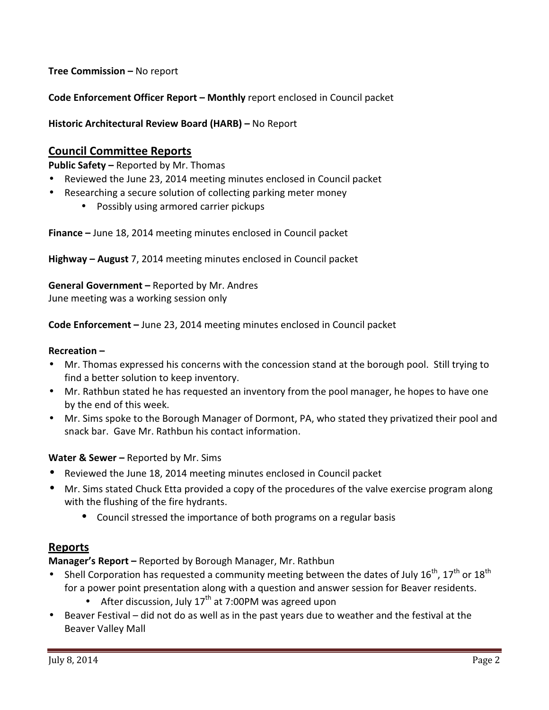Tree Commission – No report

Code Enforcement Officer Report – Monthly report enclosed in Council packet

Historic Architectural Review Board (HARB) – No Report

# Council Committee Reports

Public Safety – Reported by Mr. Thomas

- Reviewed the June 23, 2014 meeting minutes enclosed in Council packet
- Researching a secure solution of collecting parking meter money
	- Possibly using armored carrier pickups

Finance – June 18, 2014 meeting minutes enclosed in Council packet

Highway – August 7, 2014 meeting minutes enclosed in Council packet

General Government – Reported by Mr. Andres June meeting was a working session only

Code Enforcement – June 23, 2014 meeting minutes enclosed in Council packet

#### Recreation –

- Mr. Thomas expressed his concerns with the concession stand at the borough pool. Still trying to find a better solution to keep inventory.
- Mr. Rathbun stated he has requested an inventory from the pool manager, he hopes to have one by the end of this week.
- Mr. Sims spoke to the Borough Manager of Dormont, PA, who stated they privatized their pool and snack bar. Gave Mr. Rathbun his contact information.

#### Water & Sewer - Reported by Mr. Sims

- Reviewed the June 18, 2014 meeting minutes enclosed in Council packet
- Mr. Sims stated Chuck Etta provided a copy of the procedures of the valve exercise program along with the flushing of the fire hydrants.
	- Council stressed the importance of both programs on a regular basis

# Reports

Manager's Report – Reported by Borough Manager, Mr. Rathbun

- Shell Corporation has requested a community meeting between the dates of July  $16^{th}$ ,  $17^{th}$  or  $18^{th}$ for a power point presentation along with a question and answer session for Beaver residents.
	- After discussion, July  $17<sup>th</sup>$  at 7:00PM was agreed upon
- Beaver Festival did not do as well as in the past years due to weather and the festival at the Beaver Valley Mall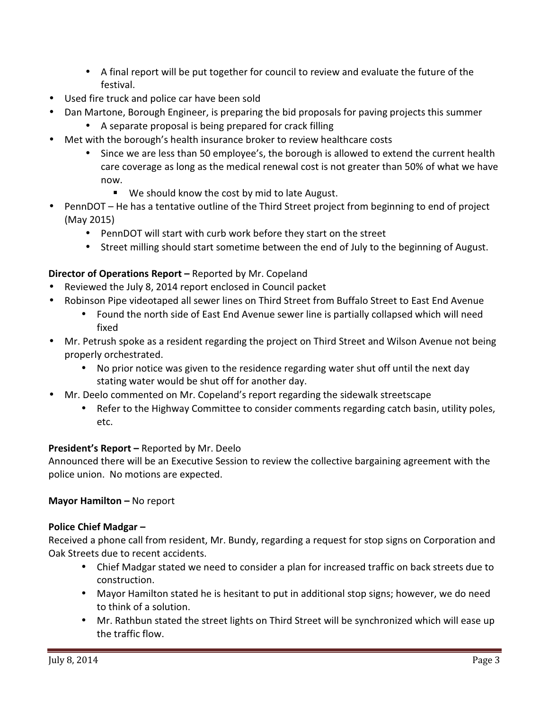- A final report will be put together for council to review and evaluate the future of the festival.
- Used fire truck and police car have been sold
- Dan Martone, Borough Engineer, is preparing the bid proposals for paving projects this summer
	- A separate proposal is being prepared for crack filling
- Met with the borough's health insurance broker to review healthcare costs
	- Since we are less than 50 employee's, the borough is allowed to extend the current health care coverage as long as the medical renewal cost is not greater than 50% of what we have now.
		- We should know the cost by mid to late August.
- PennDOT He has a tentative outline of the Third Street project from beginning to end of project (May 2015)
	- PennDOT will start with curb work before they start on the street
	- Street milling should start sometime between the end of July to the beginning of August.

# Director of Operations Report – Reported by Mr. Copeland

- Reviewed the July 8, 2014 report enclosed in Council packet
- Robinson Pipe videotaped all sewer lines on Third Street from Buffalo Street to East End Avenue
	- Found the north side of East End Avenue sewer line is partially collapsed which will need fixed
- Mr. Petrush spoke as a resident regarding the project on Third Street and Wilson Avenue not being properly orchestrated.
	- No prior notice was given to the residence regarding water shut off until the next day stating water would be shut off for another day.
- Mr. Deelo commented on Mr. Copeland's report regarding the sidewalk streetscape
	- Refer to the Highway Committee to consider comments regarding catch basin, utility poles, etc.

# President's Report – Reported by Mr. Deelo

Announced there will be an Executive Session to review the collective bargaining agreement with the police union. No motions are expected.

# Mayor Hamilton – No report

# Police Chief Madgar –

Received a phone call from resident, Mr. Bundy, regarding a request for stop signs on Corporation and Oak Streets due to recent accidents.

- Chief Madgar stated we need to consider a plan for increased traffic on back streets due to construction.
- Mayor Hamilton stated he is hesitant to put in additional stop signs; however, we do need to think of a solution.
- Mr. Rathbun stated the street lights on Third Street will be synchronized which will ease up the traffic flow.